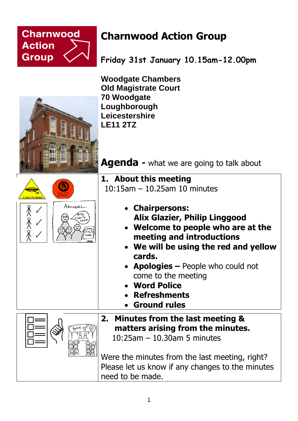

## **Charnwood Action Group**

**Friday 31st January 10.15am-12.00pm**

**Woodgate Chambers Old Magistrate Court 70 Woodgate Loughborough Leicestershire LE11 2TZ**

**Agenda -** what we are going to talk about

- **1. About this meeting** 10:15am – 10.25am 10 minutes
	- **Chairpersons: Alix Glazier, Philip Linggood**
	- **Welcome to people who are at the meeting and introductions**
	- **We will be using the red and yellow cards.**
	- **Apologies –** People who could not come to the meeting
	- **Word Police**
	- **Refreshments**
	- **Ground rules**
- **2. Minutes from the last meeting & matters arising from the minutes.** 10:25am – 10.30am 5 minutes

Were the minutes from the last meeting, right? Please let us know if any changes to the minutes need to be made.







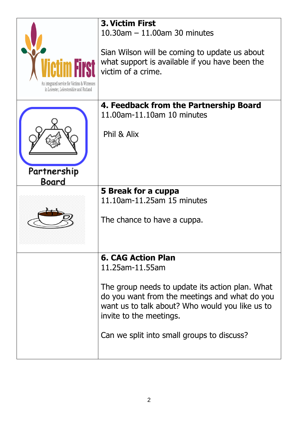| An integrated service for Victims & Witnesses<br>in Leicester, Leicestershire and Rutland | <b>3. Victim First</b><br>10.30am $-$ 11.00am 30 minutes<br>Sian Wilson will be coming to update us about<br>what support is available if you have been the<br>victim of a crime.                                                                                            |
|-------------------------------------------------------------------------------------------|------------------------------------------------------------------------------------------------------------------------------------------------------------------------------------------------------------------------------------------------------------------------------|
| Partnership<br>Board                                                                      | 4. Feedback from the Partnership Board<br>11.00am-11.10am 10 minutes<br>Phil & Alix                                                                                                                                                                                          |
|                                                                                           |                                                                                                                                                                                                                                                                              |
|                                                                                           | 5 Break for a cuppa<br>11.10am-11.25am 15 minutes<br>The chance to have a cuppa.                                                                                                                                                                                             |
|                                                                                           |                                                                                                                                                                                                                                                                              |
|                                                                                           | <b>6. CAG Action Plan</b><br>11.25am-11.55am<br>The group needs to update its action plan. What<br>do you want from the meetings and what do you<br>want us to talk about? Who would you like us to<br>invite to the meetings.<br>Can we split into small groups to discuss? |